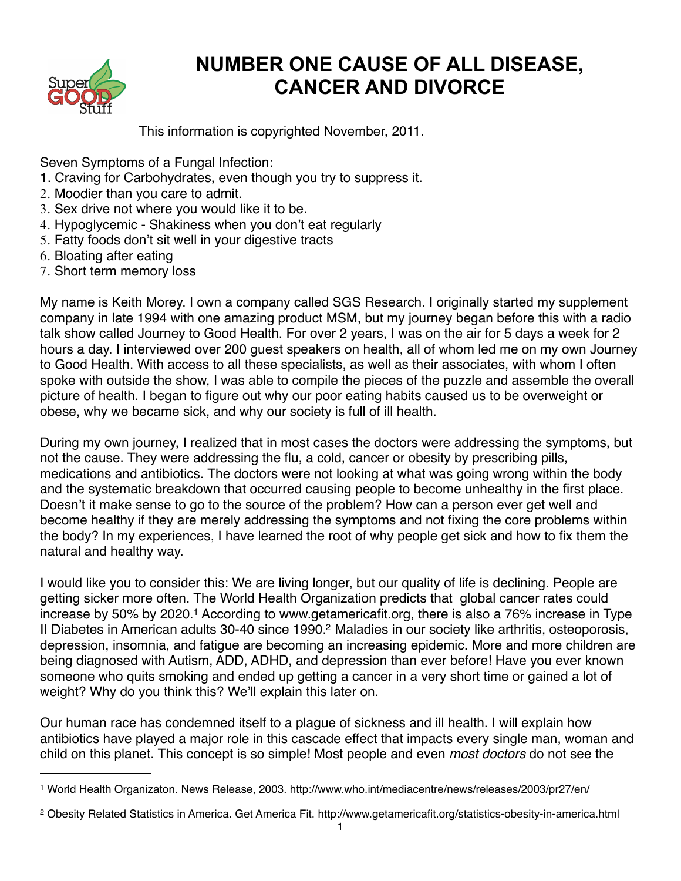

# **NUMBER ONE CAUSE OF ALL DISEASE, CANCER AND DIVORCE**

This information is copyrighted November, 2011.

Seven Symptoms of a Fungal Infection:

- 1. Craving for Carbohydrates, even though you try to suppress it.
- 2. Moodier than you care to admit.
- 3. Sex drive not where you would like it to be.
- 4. Hypoglycemic Shakiness when you don't eat regularly
- 5. Fatty foods don't sit well in your digestive tracts
- 6. Bloating after eating
- 7. Short term memory loss

My name is Keith Morey. I own a company called SGS Research. I originally started my supplement company in late 1994 with one amazing product MSM, but my journey began before this with a radio talk show called Journey to Good Health. For over 2 years, I was on the air for 5 days a week for 2 hours a day. I interviewed over 200 guest speakers on health, all of whom led me on my own Journey to Good Health. With access to all these specialists, as well as their associates, with whom I often spoke with outside the show, I was able to compile the pieces of the puzzle and assemble the overall picture of health. I began to figure out why our poor eating habits caused us to be overweight or obese, why we became sick, and why our society is full of ill health.

During my own journey, I realized that in most cases the doctors were addressing the symptoms, but not the cause. They were addressing the flu, a cold, cancer or obesity by prescribing pills, medications and antibiotics. The doctors were not looking at what was going wrong within the body and the systematic breakdown that occurred causing people to become unhealthy in the first place. Doesn't it make sense to go to the source of the problem? How can a person ever get well and become healthy if they are merely addressing the symptoms and not fixing the core problems within the body? In my experiences, I have learned the root of why people get sick and how to fix them the natural and healthy way.

I would like you to consider this: We are living longer, but our quality of life is declining. People are getting sicker more often. The World Health Organization predicts that global cancer rates could increase by 50% by 2020.<sup>1</sup> According to www.getamericafit.org, there is also a 76% increase in Type II Diabetes in American adults 30-40 since 1990[.2](#page-0-1) Maladies in our society like arthritis, osteoporosis, depression, insomnia, and fatigue are becoming an increasing epidemic. More and more children are being diagnosed with Autism, ADD, ADHD, and depression than ever before! Have you ever known someone who quits smoking and ended up getting a cancer in a very short time or gained a lot of weight? Why do you think this? We'll explain this later on.

Our human race has condemned itself to a plague of sickness and ill health. I will explain how antibiotics have played a major role in this cascade effect that impacts every single man, woman and child on this planet. This concept is so simple! Most people and even *most doctors* do not see the

<span id="page-0-0"></span><sup>1</sup> World Health Organizaton. News Release, 2003. http://www.who.int/mediacentre/news/releases/2003/pr27/en/

<span id="page-0-1"></span><sup>2</sup> Obesity Related Statistics in America. Get America Fit. http://www.getamericafit.org/statistics-obesity-in-america.html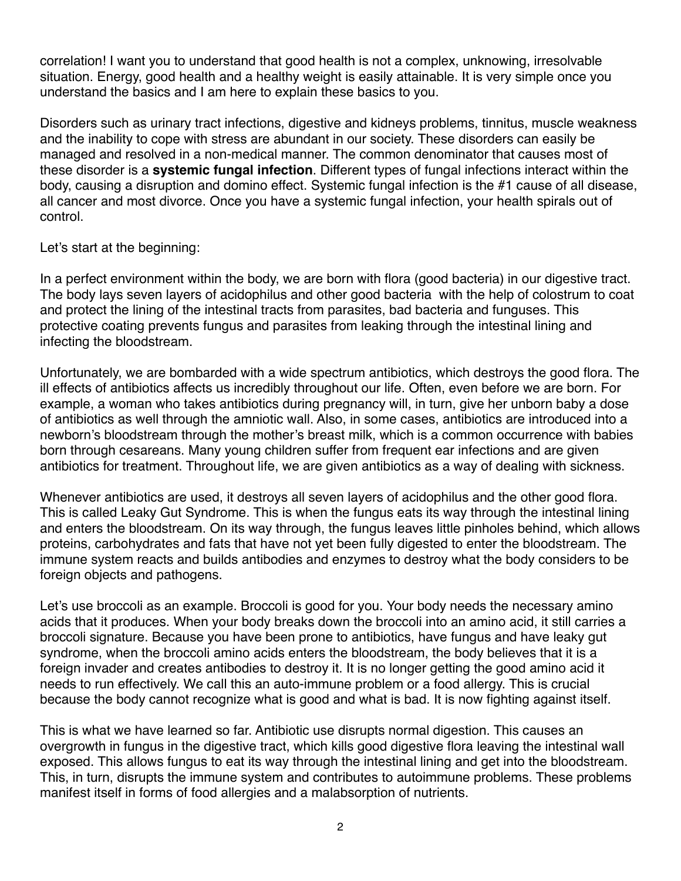correlation! I want you to understand that good health is not a complex, unknowing, irresolvable situation. Energy, good health and a healthy weight is easily attainable. It is very simple once you understand the basics and I am here to explain these basics to you.

Disorders such as urinary tract infections, digestive and kidneys problems, tinnitus, muscle weakness and the inability to cope with stress are abundant in our society. These disorders can easily be managed and resolved in a non-medical manner. The common denominator that causes most of these disorder is a **systemic fungal infection**. Different types of fungal infections interact within the body, causing a disruption and domino effect. Systemic fungal infection is the #1 cause of all disease, all cancer and most divorce. Once you have a systemic fungal infection, your health spirals out of control.

Let's start at the beginning:

In a perfect environment within the body, we are born with flora (good bacteria) in our digestive tract. The body lays seven layers of acidophilus and other good bacteria with the help of colostrum to coat and protect the lining of the intestinal tracts from parasites, bad bacteria and funguses. This protective coating prevents fungus and parasites from leaking through the intestinal lining and infecting the bloodstream.

Unfortunately, we are bombarded with a wide spectrum antibiotics, which destroys the good flora. The ill effects of antibiotics affects us incredibly throughout our life. Often, even before we are born. For example, a woman who takes antibiotics during pregnancy will, in turn, give her unborn baby a dose of antibiotics as well through the amniotic wall. Also, in some cases, antibiotics are introduced into a newborn's bloodstream through the mother's breast milk, which is a common occurrence with babies born through cesareans. Many young children suffer from frequent ear infections and are given antibiotics for treatment. Throughout life, we are given antibiotics as a way of dealing with sickness.

Whenever antibiotics are used, it destroys all seven layers of acidophilus and the other good flora. This is called Leaky Gut Syndrome. This is when the fungus eats its way through the intestinal lining and enters the bloodstream. On its way through, the fungus leaves little pinholes behind, which allows proteins, carbohydrates and fats that have not yet been fully digested to enter the bloodstream. The immune system reacts and builds antibodies and enzymes to destroy what the body considers to be foreign objects and pathogens.

Let's use broccoli as an example. Broccoli is good for you. Your body needs the necessary amino acids that it produces. When your body breaks down the broccoli into an amino acid, it still carries a broccoli signature. Because you have been prone to antibiotics, have fungus and have leaky gut syndrome, when the broccoli amino acids enters the bloodstream, the body believes that it is a foreign invader and creates antibodies to destroy it. It is no longer getting the good amino acid it needs to run effectively. We call this an auto-immune problem or a food allergy. This is crucial because the body cannot recognize what is good and what is bad. It is now fighting against itself.

This is what we have learned so far. Antibiotic use disrupts normal digestion. This causes an overgrowth in fungus in the digestive tract, which kills good digestive flora leaving the intestinal wall exposed. This allows fungus to eat its way through the intestinal lining and get into the bloodstream. This, in turn, disrupts the immune system and contributes to autoimmune problems. These problems manifest itself in forms of food allergies and a malabsorption of nutrients.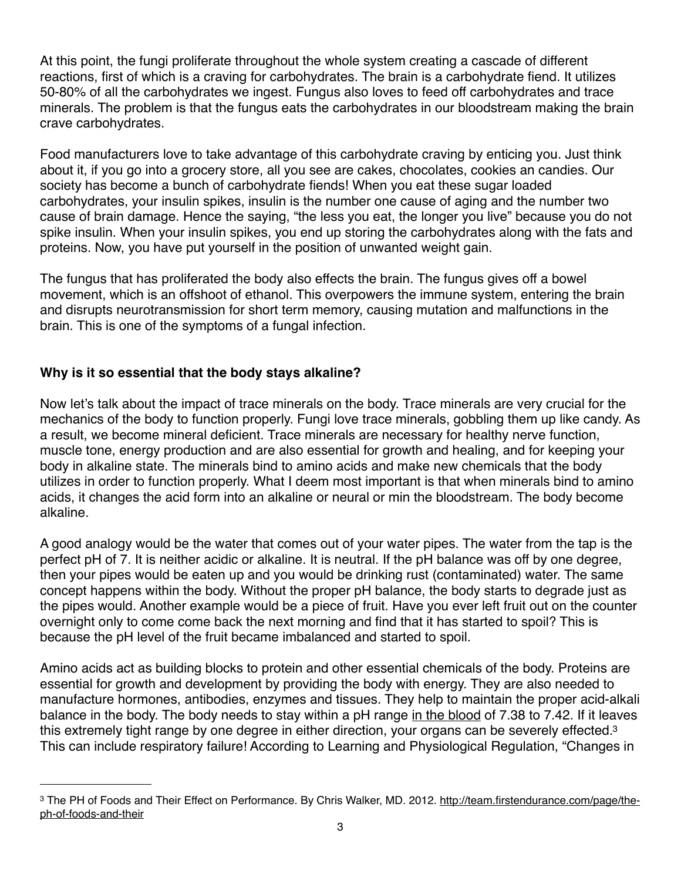At this point, the fungi proliferate throughout the whole system creating a cascade of different reactions, first of which is a craving for carbohydrates. The brain is a carbohydrate fiend. It utilizes 50-80% of all the carbohydrates we ingest. Fungus also loves to feed off carbohydrates and trace minerals. The problem is that the fungus eats the carbohydrates in our bloodstream making the brain crave carbohydrates.

Food manufacturers love to take advantage of this carbohydrate craving by enticing you. Just think about it, if you go into a grocery store, all you see are cakes, chocolates, cookies an candies. Our society has become a bunch of carbohydrate fiends! When you eat these sugar loaded carbohydrates, your insulin spikes, insulin is the number one cause of aging and the number two cause of brain damage. Hence the saying, "the less you eat, the longer you live" because you do not spike insulin. When your insulin spikes, you end up storing the carbohydrates along with the fats and proteins. Now, you have put yourself in the position of unwanted weight gain.

The fungus that has proliferated the body also effects the brain. The fungus gives off a bowel movement, which is an offshoot of ethanol. This overpowers the immune system, entering the brain and disrupts neurotransmission for short term memory, causing mutation and malfunctions in the brain. This is one of the symptoms of a fungal infection.

## **Why is it so essential that the body stays alkaline?**

Now let's talk about the impact of trace minerals on the body. Trace minerals are very crucial for the mechanics of the body to function properly. Fungi love trace minerals, gobbling them up like candy. As a result, we become mineral deficient. Trace minerals are necessary for healthy nerve function, muscle tone, energy production and are also essential for growth and healing, and for keeping your body in alkaline state. The minerals bind to amino acids and make new chemicals that the body utilizes in order to function properly. What I deem most important is that when minerals bind to amino acids, it changes the acid form into an alkaline or neural or min the bloodstream. The body become alkaline.

A good analogy would be the water that comes out of your water pipes. The water from the tap is the perfect pH of 7. It is neither acidic or alkaline. It is neutral. If the pH balance was off by one degree, then your pipes would be eaten up and you would be drinking rust (contaminated) water. The same concept happens within the body. Without the proper pH balance, the body starts to degrade just as the pipes would. Another example would be a piece of fruit. Have you ever left fruit out on the counter overnight only to come come back the next morning and find that it has started to spoil? This is because the pH level of the fruit became imbalanced and started to spoil.

Amino acids act as building blocks to protein and other essential chemicals of the body. Proteins are essential for growth and development by providing the body with energy. They are also needed to manufacture hormones, antibodies, enzymes and tissues. They help to maintain the proper acid-alkali balance in the body. The body needs to stay within a pH range in the blood of 7.38 to 7.42. If it leaves this extremely tight range by one degree in either direction, your organs can be severely effected.<sup>3</sup> This can include respiratory failure! According to Learning and Physiological Regulation, "Changes in

<span id="page-2-0"></span><sup>&</sup>lt;sup>3</sup> The PH of Foods and Their Effect on Performance. By Chris Walker, MD. 2012. [http://team.firstendurance.com/page/the](http://team.firstendurance.com/page/the-ph-of-foods-and-their)[ph-of-foods-and-their](http://team.firstendurance.com/page/the-ph-of-foods-and-their)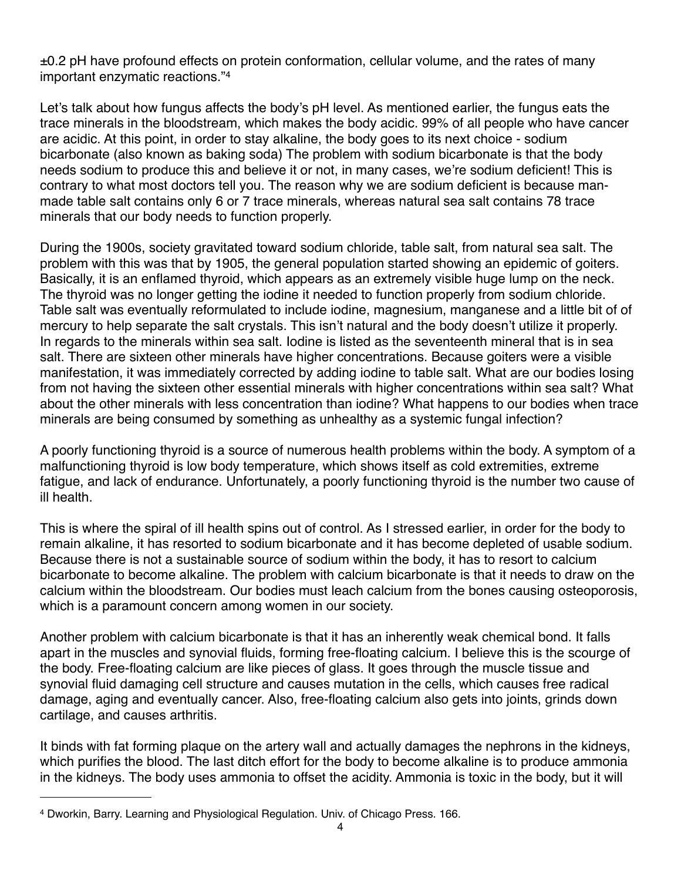$\pm$ 0.2 pH have profound effects on protein conformation, cellular volume, and the rates of many important enzymatic reactions."[4](#page-3-0)

Let's talk about how fungus affects the body's pH level. As mentioned earlier, the fungus eats the trace minerals in the bloodstream, which makes the body acidic. 99% of all people who have cancer are acidic. At this point, in order to stay alkaline, the body goes to its next choice - sodium bicarbonate (also known as baking soda) The problem with sodium bicarbonate is that the body needs sodium to produce this and believe it or not, in many cases, we're sodium deficient! This is contrary to what most doctors tell you. The reason why we are sodium deficient is because manmade table salt contains only 6 or 7 trace minerals, whereas natural sea salt contains 78 trace minerals that our body needs to function properly.

During the 1900s, society gravitated toward sodium chloride, table salt, from natural sea salt. The problem with this was that by 1905, the general population started showing an epidemic of goiters. Basically, it is an enflamed thyroid, which appears as an extremely visible huge lump on the neck. The thyroid was no longer getting the iodine it needed to function properly from sodium chloride. Table salt was eventually reformulated to include iodine, magnesium, manganese and a little bit of of mercury to help separate the salt crystals. This isn't natural and the body doesn't utilize it properly. In regards to the minerals within sea salt. Iodine is listed as the seventeenth mineral that is in sea salt. There are sixteen other minerals have higher concentrations. Because goiters were a visible manifestation, it was immediately corrected by adding iodine to table salt. What are our bodies losing from not having the sixteen other essential minerals with higher concentrations within sea salt? What about the other minerals with less concentration than iodine? What happens to our bodies when trace minerals are being consumed by something as unhealthy as a systemic fungal infection?

A poorly functioning thyroid is a source of numerous health problems within the body. A symptom of a malfunctioning thyroid is low body temperature, which shows itself as cold extremities, extreme fatigue, and lack of endurance. Unfortunately, a poorly functioning thyroid is the number two cause of ill health.

This is where the spiral of ill health spins out of control. As I stressed earlier, in order for the body to remain alkaline, it has resorted to sodium bicarbonate and it has become depleted of usable sodium. Because there is not a sustainable source of sodium within the body, it has to resort to calcium bicarbonate to become alkaline. The problem with calcium bicarbonate is that it needs to draw on the calcium within the bloodstream. Our bodies must leach calcium from the bones causing osteoporosis, which is a paramount concern among women in our society.

Another problem with calcium bicarbonate is that it has an inherently weak chemical bond. It falls apart in the muscles and synovial fluids, forming free-floating calcium. I believe this is the scourge of the body. Free-floating calcium are like pieces of glass. It goes through the muscle tissue and synovial fluid damaging cell structure and causes mutation in the cells, which causes free radical damage, aging and eventually cancer. Also, free-floating calcium also gets into joints, grinds down cartilage, and causes arthritis.

It binds with fat forming plaque on the artery wall and actually damages the nephrons in the kidneys, which purifies the blood. The last ditch effort for the body to become alkaline is to produce ammonia in the kidneys. The body uses ammonia to offset the acidity. Ammonia is toxic in the body, but it will

<span id="page-3-0"></span><sup>4</sup> Dworkin, Barry. Learning and Physiological Regulation. Univ. of Chicago Press. 166.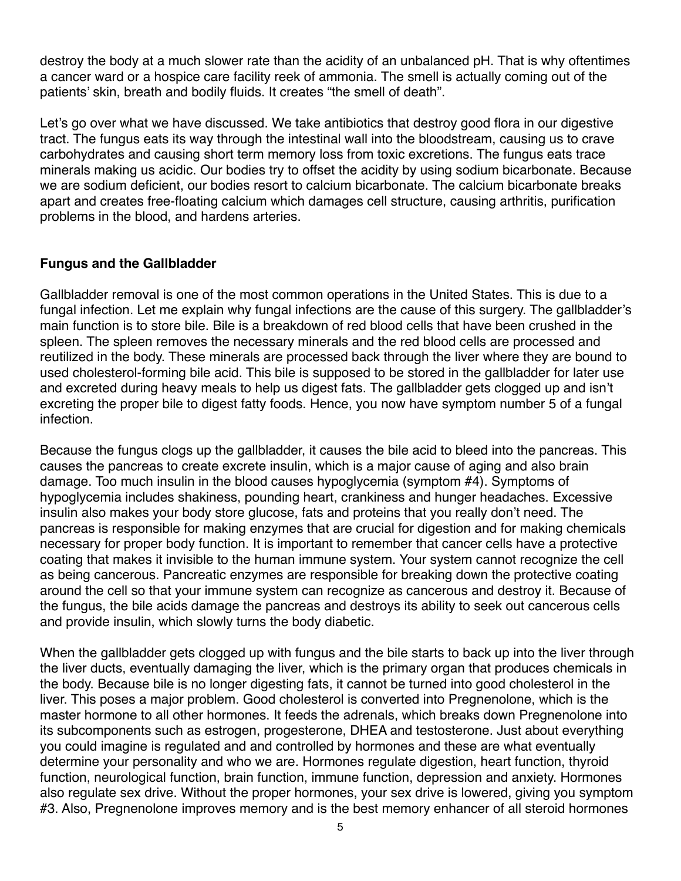destroy the body at a much slower rate than the acidity of an unbalanced pH. That is why oftentimes a cancer ward or a hospice care facility reek of ammonia. The smell is actually coming out of the patients' skin, breath and bodily fluids. It creates "the smell of death".

Let's go over what we have discussed. We take antibiotics that destroy good flora in our digestive tract. The fungus eats its way through the intestinal wall into the bloodstream, causing us to crave carbohydrates and causing short term memory loss from toxic excretions. The fungus eats trace minerals making us acidic. Our bodies try to offset the acidity by using sodium bicarbonate. Because we are sodium deficient, our bodies resort to calcium bicarbonate. The calcium bicarbonate breaks apart and creates free-floating calcium which damages cell structure, causing arthritis, purification problems in the blood, and hardens arteries.

#### **Fungus and the Gallbladder**

Gallbladder removal is one of the most common operations in the United States. This is due to a fungal infection. Let me explain why fungal infections are the cause of this surgery. The gallbladder's main function is to store bile. Bile is a breakdown of red blood cells that have been crushed in the spleen. The spleen removes the necessary minerals and the red blood cells are processed and reutilized in the body. These minerals are processed back through the liver where they are bound to used cholesterol-forming bile acid. This bile is supposed to be stored in the gallbladder for later use and excreted during heavy meals to help us digest fats. The gallbladder gets clogged up and isn't excreting the proper bile to digest fatty foods. Hence, you now have symptom number 5 of a fungal infection.

Because the fungus clogs up the gallbladder, it causes the bile acid to bleed into the pancreas. This causes the pancreas to create excrete insulin, which is a major cause of aging and also brain damage. Too much insulin in the blood causes hypoglycemia (symptom #4). Symptoms of hypoglycemia includes shakiness, pounding heart, crankiness and hunger headaches. Excessive insulin also makes your body store glucose, fats and proteins that you really don't need. The pancreas is responsible for making enzymes that are crucial for digestion and for making chemicals necessary for proper body function. It is important to remember that cancer cells have a protective coating that makes it invisible to the human immune system. Your system cannot recognize the cell as being cancerous. Pancreatic enzymes are responsible for breaking down the protective coating around the cell so that your immune system can recognize as cancerous and destroy it. Because of the fungus, the bile acids damage the pancreas and destroys its ability to seek out cancerous cells and provide insulin, which slowly turns the body diabetic.

When the gallbladder gets clogged up with fungus and the bile starts to back up into the liver through the liver ducts, eventually damaging the liver, which is the primary organ that produces chemicals in the body. Because bile is no longer digesting fats, it cannot be turned into good cholesterol in the liver. This poses a major problem. Good cholesterol is converted into Pregnenolone, which is the master hormone to all other hormones. It feeds the adrenals, which breaks down Pregnenolone into its subcomponents such as estrogen, progesterone, DHEA and testosterone. Just about everything you could imagine is regulated and and controlled by hormones and these are what eventually determine your personality and who we are. Hormones regulate digestion, heart function, thyroid function, neurological function, brain function, immune function, depression and anxiety. Hormones also regulate sex drive. Without the proper hormones, your sex drive is lowered, giving you symptom #3. Also, Pregnenolone improves memory and is the best memory enhancer of all steroid hormones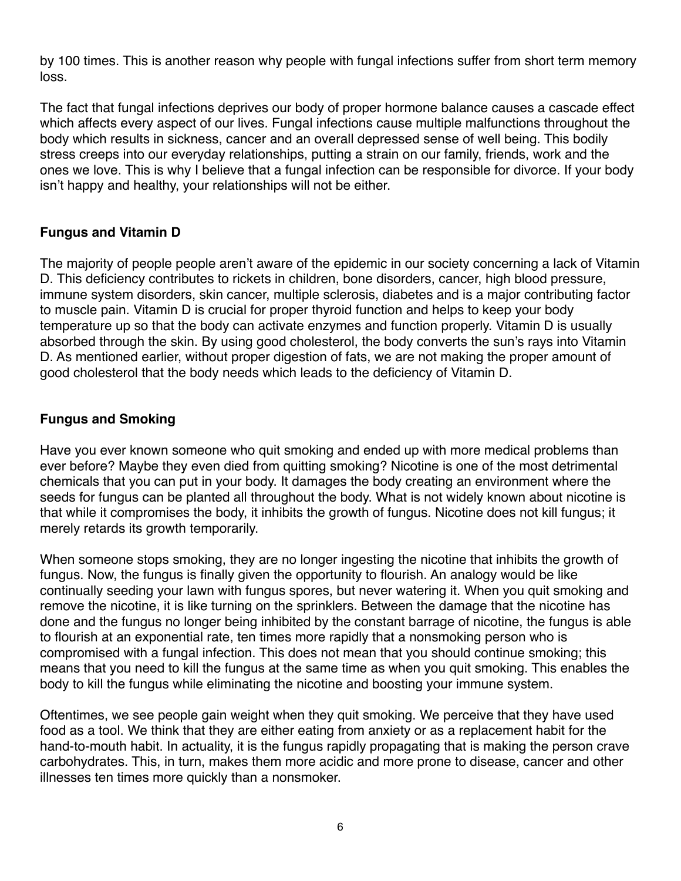by 100 times. This is another reason why people with fungal infections suffer from short term memory loss.

The fact that fungal infections deprives our body of proper hormone balance causes a cascade effect which affects every aspect of our lives. Fungal infections cause multiple malfunctions throughout the body which results in sickness, cancer and an overall depressed sense of well being. This bodily stress creeps into our everyday relationships, putting a strain on our family, friends, work and the ones we love. This is why I believe that a fungal infection can be responsible for divorce. If your body isn't happy and healthy, your relationships will not be either.

## **Fungus and Vitamin D**

The majority of people people aren't aware of the epidemic in our society concerning a lack of Vitamin D. This deficiency contributes to rickets in children, bone disorders, cancer, high blood pressure, immune system disorders, skin cancer, multiple sclerosis, diabetes and is a major contributing factor to muscle pain. Vitamin D is crucial for proper thyroid function and helps to keep your body temperature up so that the body can activate enzymes and function properly. Vitamin D is usually absorbed through the skin. By using good cholesterol, the body converts the sun's rays into Vitamin D. As mentioned earlier, without proper digestion of fats, we are not making the proper amount of good cholesterol that the body needs which leads to the deficiency of Vitamin D.

### **Fungus and Smoking**

Have you ever known someone who quit smoking and ended up with more medical problems than ever before? Maybe they even died from quitting smoking? Nicotine is one of the most detrimental chemicals that you can put in your body. It damages the body creating an environment where the seeds for fungus can be planted all throughout the body. What is not widely known about nicotine is that while it compromises the body, it inhibits the growth of fungus. Nicotine does not kill fungus; it merely retards its growth temporarily.

When someone stops smoking, they are no longer ingesting the nicotine that inhibits the growth of fungus. Now, the fungus is finally given the opportunity to flourish. An analogy would be like continually seeding your lawn with fungus spores, but never watering it. When you quit smoking and remove the nicotine, it is like turning on the sprinklers. Between the damage that the nicotine has done and the fungus no longer being inhibited by the constant barrage of nicotine, the fungus is able to flourish at an exponential rate, ten times more rapidly that a nonsmoking person who is compromised with a fungal infection. This does not mean that you should continue smoking; this means that you need to kill the fungus at the same time as when you quit smoking. This enables the body to kill the fungus while eliminating the nicotine and boosting your immune system.

Oftentimes, we see people gain weight when they quit smoking. We perceive that they have used food as a tool. We think that they are either eating from anxiety or as a replacement habit for the hand-to-mouth habit. In actuality, it is the fungus rapidly propagating that is making the person crave carbohydrates. This, in turn, makes them more acidic and more prone to disease, cancer and other illnesses ten times more quickly than a nonsmoker.